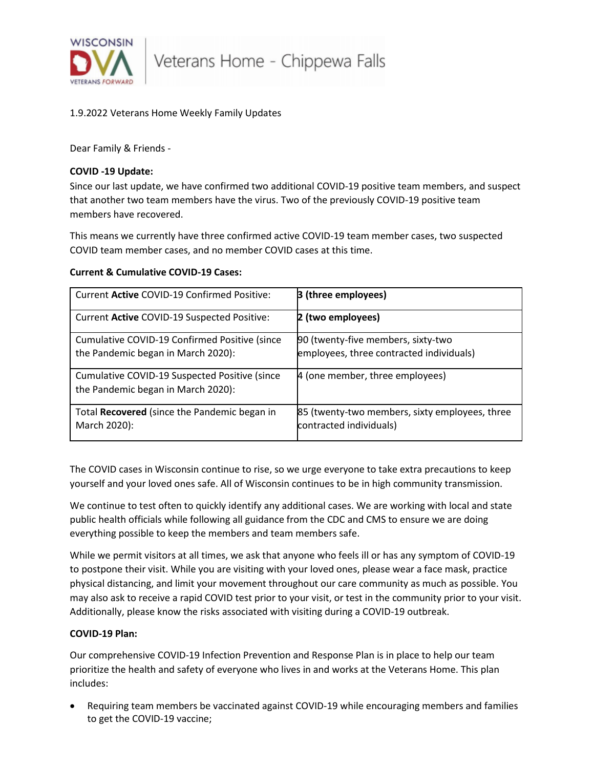

## 1.9.2022 Veterans Home Weekly Family Updates

Dear Family & Friends -

### **COVID -19 Update:**

Since our last update, we have confirmed two additional COVID-19 positive team members, and suspect that another two team members have the virus. Two of the previously COVID-19 positive team members have recovered.

This means we currently have three confirmed active COVID-19 team member cases, two suspected COVID team member cases, and no member COVID cases at this time.

### **Current & Cumulative COVID-19 Cases:**

| Current Active COVID-19 Confirmed Positive:                                         | <b>B</b> (three employees)                                                     |
|-------------------------------------------------------------------------------------|--------------------------------------------------------------------------------|
| Current Active COVID-19 Suspected Positive:                                         | 2 (two employees)                                                              |
| Cumulative COVID-19 Confirmed Positive (since<br>the Pandemic began in March 2020): | 90 (twenty-five members, sixty-two<br>employees, three contracted individuals) |
| Cumulative COVID-19 Suspected Positive (since<br>the Pandemic began in March 2020): | 4 (one member, three employees)                                                |
| Total Recovered (since the Pandemic began in<br>March 2020):                        | 85 (twenty-two members, sixty employees, three<br>contracted individuals)      |

The COVID cases in Wisconsin continue to rise, so we urge everyone to take extra precautions to keep yourself and your loved ones safe. All of Wisconsin continues to be in high community transmission.

We continue to test often to quickly identify any additional cases. We are working with local and state public health officials while following all guidance from the CDC and CMS to ensure we are doing everything possible to keep the members and team members safe.

While we permit visitors at all times, we ask that anyone who feels ill or has any symptom of COVID-19 to postpone their visit. While you are visiting with your loved ones, please wear a face mask, practice physical distancing, and limit your movement throughout our care community as much as possible. You may also ask to receive a rapid COVID test prior to your visit, or test in the community prior to your visit. Additionally, please know the risks associated with visiting during a COVID-19 outbreak.

#### **COVID-19 Plan:**

Our comprehensive COVID-19 Infection Prevention and Response Plan is in place to help our team prioritize the health and safety of everyone who lives in and works at the Veterans Home. This plan includes:

• Requiring team members be vaccinated against COVID-19 while encouraging members and families to get the COVID-19 vaccine;